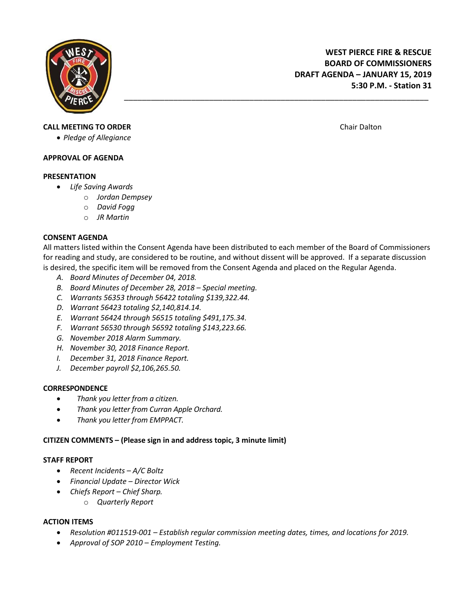

**WEST PIERCE FIRE & RESCUE BOARD OF COMMISSIONERS DRAFT AGENDA – JANUARY 15, 2019 5:30 P.M. - Station 31**

### **CALL MEETING TO ORDER CALL MEETING TO ORDER Chair Dalton Chair Dalton Chair Dalton**

*Pledge of Allegiance*

#### **APPROVAL OF AGENDA**

#### **PRESENTATION**

- *Life Saving Awards*
	- o *Jordan Dempsey*
	- o *David Fogg*
	- o *JR Martin*

### **CONSENT AGENDA**

All matters listed within the Consent Agenda have been distributed to each member of the Board of Commissioners for reading and study, are considered to be routine, and without dissent will be approved. If a separate discussion is desired, the specific item will be removed from the Consent Agenda and placed on the Regular Agenda.

\_\_\_\_\_\_\_\_\_\_\_\_\_\_\_\_\_\_\_\_\_\_\_\_\_\_\_\_\_\_\_\_\_\_\_\_\_\_\_\_\_\_\_\_\_\_\_\_\_\_\_\_\_\_\_\_\_\_\_\_\_\_\_\_\_\_\_\_

- *A. Board Minutes of December 04, 2018.*
- *B. Board Minutes of December 28, 2018 – Special meeting.*
- *C. Warrants 56353 through 56422 totaling \$139,322.44.*
- *D. Warrant 56423 totaling \$2,140,814.14.*
- *E. Warrant 56424 through 56515 totaling \$491,175.34.*
- *F. Warrant 56530 through 56592 totaling \$143,223.66.*
- *G. November 2018 Alarm Summary.*
- *H. November 30, 2018 Finance Report.*
- *I. December 31, 2018 Finance Report.*
- *J. December payroll \$2,106,265.50.*

### **CORRESPONDENCE**

- *Thank you letter from a citizen.*
- *Thank you letter from Curran Apple Orchard.*
- *Thank you letter from EMPPACT.*

## **CITIZEN COMMENTS – (Please sign in and address topic, 3 minute limit)**

### **STAFF REPORT**

- *Recent Incidents – A/C Boltz*
- *Financial Update – Director Wick*
- *Chiefs Report – Chief Sharp.*
	- o *Quarterly Report*

### **ACTION ITEMS**

- *Resolution #011519-001 – Establish regular commission meeting dates, times, and locations for 2019.*
- *Approval of SOP 2010 – Employment Testing.*